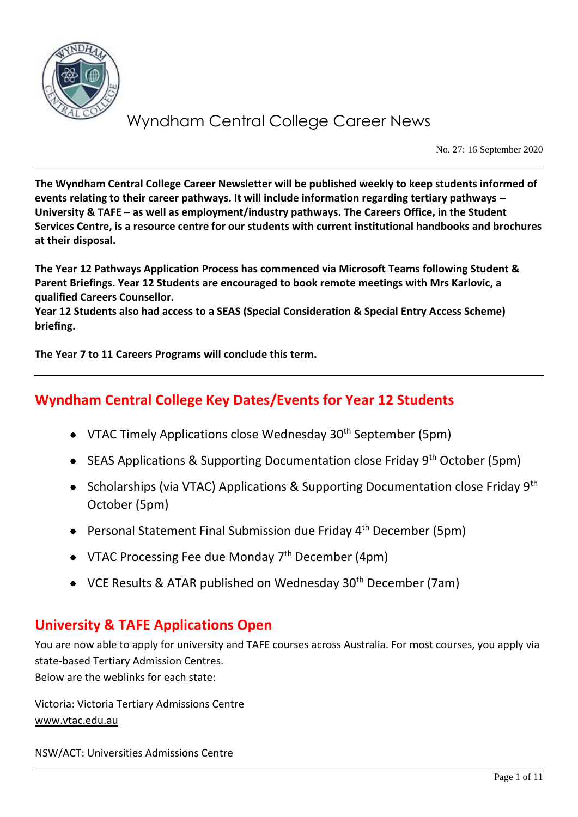

No. 27: 16 September 2020

**The Wyndham Central College Career Newsletter will be published weekly to keep students informed of events relating to their career pathways. It will include information regarding tertiary pathways – University & TAFE – as well as employment/industry pathways. The Careers Office, in the Student Services Centre, is a resource centre for our students with current institutional handbooks and brochures at their disposal.**

**The Year 12 Pathways Application Process has commenced via Microsoft Teams following Student & Parent Briefings. Year 12 Students are encouraged to book remote meetings with Mrs Karlovic, a qualified Careers Counsellor.**

**Year 12 Students also had access to a SEAS (Special Consideration & Special Entry Access Scheme) briefing.** 

**The Year 7 to 11 Careers Programs will conclude this term.**

## **Wyndham Central College Key Dates/Events for Year 12 Students**

- VTAC Timely Applications close Wednesday  $30<sup>th</sup>$  September (5pm)
- SEAS Applications & Supporting Documentation close Friday  $9<sup>th</sup>$  October (5pm)
- Scholarships (via VTAC) Applications & Supporting Documentation close Friday 9<sup>th</sup> October (5pm)
- Personal Statement Final Submission due Friday 4<sup>th</sup> December (5pm)
- VTAC Processing Fee due Monday  $7<sup>th</sup>$  December (4pm)
- VCE Results & ATAR published on Wednesday 30<sup>th</sup> December (7am)

## **University & TAFE Applications Open**

You are now able to apply for university and TAFE courses across Australia. For most courses, you apply via state-based Tertiary Admission Centres. Below are the weblinks for each state:

Victoria: Victoria Tertiary Admissions Centre [www.vtac.edu.au](http://www.vtac.edu.au/)

NSW/ACT: Universities Admissions Centre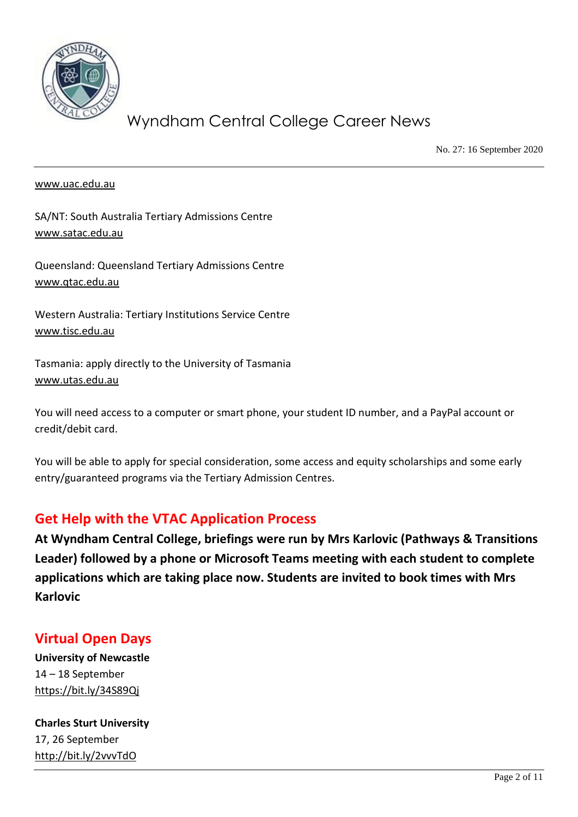

No. 27: 16 September 2020

#### [www.uac.edu.au](http://www.uac.edu.au/)

SA/NT: South Australia Tertiary Admissions Centre [www.satac.edu.au](http://www.satac.edu.au/)

Queensland: Queensland Tertiary Admissions Centre [www.qtac.edu.au](http://www.qtac.edu.au/)

Western Australia: Tertiary Institutions Service Centre [www.tisc.edu.au](http://www.tisc.edu.au/)

Tasmania: apply directly to the University of Tasmania [www.utas.edu.au](http://www.utas.edu.au/)

You will need access to a computer or smart phone, your student ID number, and a PayPal account or credit/debit card.

You will be able to apply for special consideration, some access and equity scholarships and some early entry/guaranteed programs via the Tertiary Admission Centres.

## **Get Help with the VTAC Application Process**

**At Wyndham Central College, briefings were run by Mrs Karlovic (Pathways & Transitions Leader) followed by a phone or Microsoft Teams meeting with each student to complete applications which are taking place now. Students are invited to book times with Mrs Karlovic**

## **Virtual Open Days**

**University of Newcastle** 14 – 18 September <https://bit.ly/34S89Qj>

**Charles Sturt University** 17, 26 September <http://bit.ly/2vvvTdO>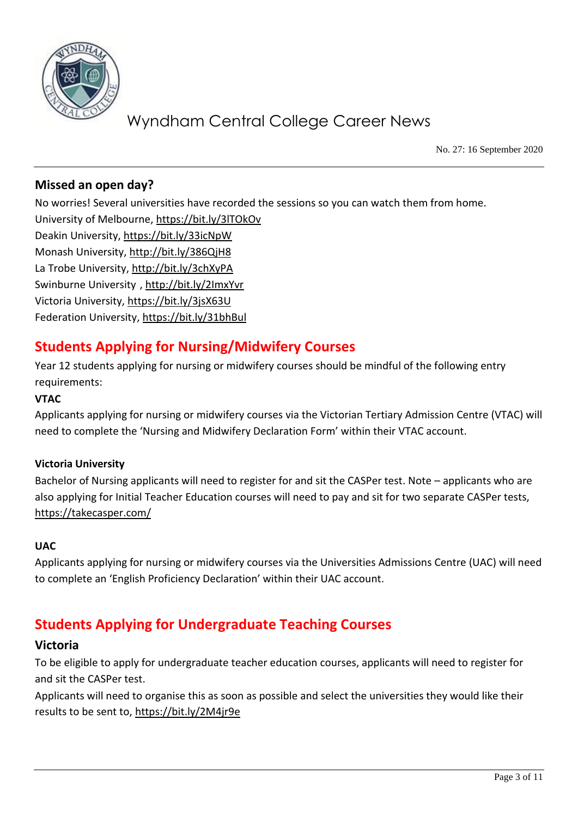

No. 27: 16 September 2020

## **Missed an open day?**

No worries! Several universities have recorded the sessions so you can watch them from home. University of Melbourne[, https://bit.ly/3lTOkOv](https://bit.ly/3lTOkOv) Deakin University,<https://bit.ly/33icNpW> Monash University,<http://bit.ly/386QjH8> La Trobe University,<http://bit.ly/3chXyPA> Swinburne University [, http://bit.ly/2ImxYvr](http://bit.ly/2ImxYvr) Victoria University,<https://bit.ly/3jsX63U> Federation University[, https://bit.ly/31bhBul](https://bit.ly/31bhBul)

# **Students Applying for Nursing/Midwifery Courses**

Year 12 students applying for nursing or midwifery courses should be mindful of the following entry requirements:

### **VTAC**

Applicants applying for nursing or midwifery courses via the Victorian Tertiary Admission Centre (VTAC) will need to complete the 'Nursing and Midwifery Declaration Form' within their VTAC account.

### **Victoria University**

Bachelor of Nursing applicants will need to register for and sit the CASPer test. Note – applicants who are also applying for Initial Teacher Education courses will need to pay and sit for two separate CASPer tests, <https://takecasper.com/>

### **UAC**

Applicants applying for nursing or midwifery courses via the Universities Admissions Centre (UAC) will need to complete an 'English Proficiency Declaration' within their UAC account.

## **Students Applying for Undergraduate Teaching Courses**

### **Victoria**

To be eligible to apply for undergraduate teacher education courses, applicants will need to register for and sit the CASPer test.

Applicants will need to organise this as soon as possible and select the universities they would like their results to be sent to,<https://bit.ly/2M4jr9e>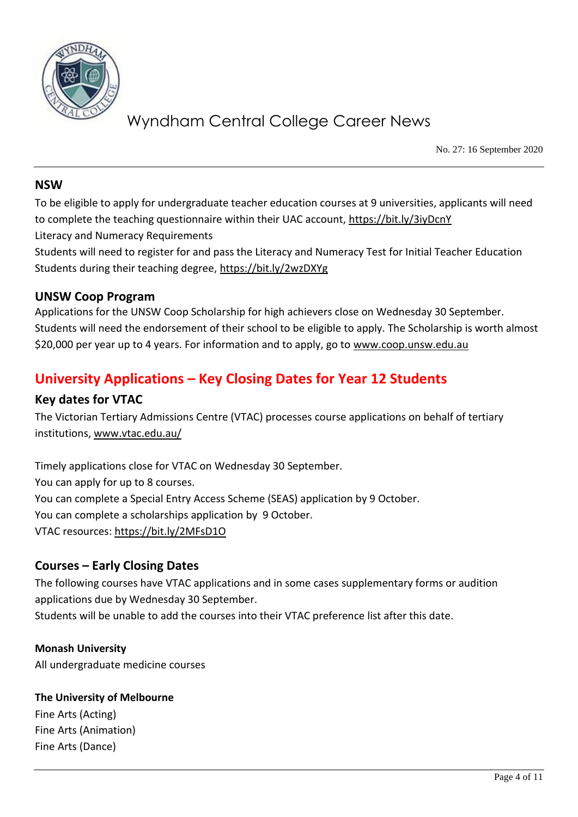

No. 27: 16 September 2020

### **NSW**

To be eligible to apply for undergraduate teacher education courses at 9 universities, applicants will need to complete the teaching questionnaire within their UAC account,<https://bit.ly/3iyDcnY>

Literacy and Numeracy Requirements

Students will need to register for and pass the Literacy and Numeracy Test for Initial Teacher Education Students during their teaching degree,<https://bit.ly/2wzDXYg>

### **UNSW Coop Program**

Applications for the UNSW Coop Scholarship for high achievers close on Wednesday 30 September. Students will need the endorsement of their school to be eligible to apply. The Scholarship is worth almost \$20,000 per year up to 4 years. For information and to apply, go to [www.coop.unsw.edu.au](http://www.coop.unsw.edu.au/)

# **University Applications – Key Closing Dates for Year 12 Students**

### **Key dates for VTAC**

The Victorian Tertiary Admissions Centre (VTAC) processes course applications on behalf of tertiary institutions[, www.vtac.edu.au/](http://www.vtac.edu.au/)

Timely applications close for VTAC on Wednesday 30 September. You can apply for up to 8 courses. You can complete a Special Entry Access Scheme (SEAS) application by 9 October. You can complete a scholarships application by 9 October. VTAC resources:<https://bit.ly/2MFsD1O>

### **Courses – Early Closing Dates**

The following courses have VTAC applications and in some cases supplementary forms or audition applications due by Wednesday 30 September. Students will be unable to add the courses into their VTAC preference list after this date.

**Monash University** All undergraduate medicine courses

**The University of Melbourne** Fine Arts (Acting) Fine Arts (Animation) Fine Arts (Dance)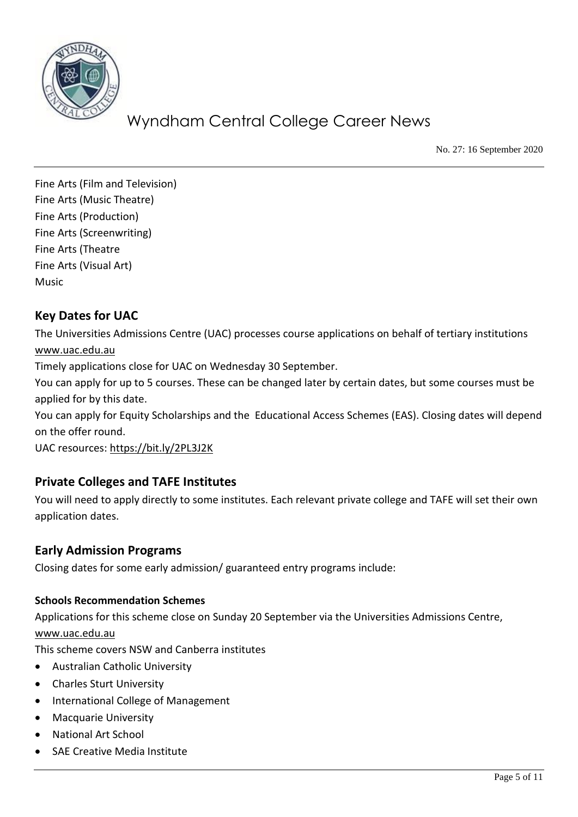

No. 27: 16 September 2020

Fine Arts (Film and Television) Fine Arts (Music Theatre) Fine Arts (Production) Fine Arts (Screenwriting) Fine Arts (Theatre Fine Arts (Visual Art) Music

## **Key Dates for UAC**

The Universities Admissions Centre (UAC) processes course applications on behalf of tertiary institutions [www.uac.edu.au](http://www.uac.edu.au/)

Timely applications close for UAC on Wednesday 30 September.

You can apply for up to 5 courses. These can be changed later by certain dates, but some courses must be applied for by this date.

You can apply for Equity Scholarships and the Educational Access Schemes (EAS). Closing dates will depend on the offer round.

UAC resources:<https://bit.ly/2PL3J2K>

## **Private Colleges and TAFE Institutes**

You will need to apply directly to some institutes. Each relevant private college and TAFE will set their own application dates.

### **Early Admission Programs**

Closing dates for some early admission/ guaranteed entry programs include:

### **Schools Recommendation Schemes**

Applications for this scheme close on Sunday 20 September via the Universities Admissions Centre, [www.uac.edu.au](http://www.uac.edu.au/)

This scheme covers NSW and Canberra institutes

- Australian Catholic University
- Charles Sturt University
- International College of Management
- Macquarie University
- National Art School
- SAE Creative Media Institute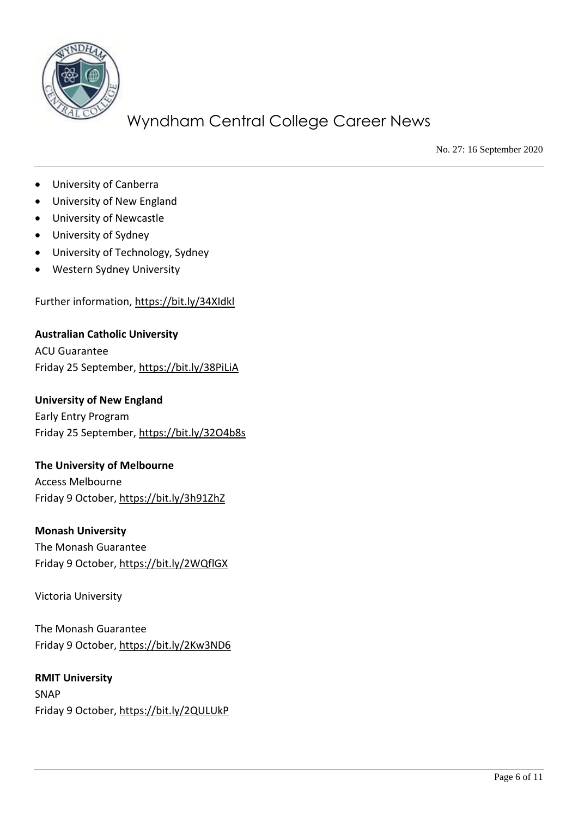

No. 27: 16 September 2020

- University of Canberra
- University of New England
- University of Newcastle
- University of Sydney
- University of Technology, Sydney
- Western Sydney University

Further information,<https://bit.ly/34XIdkl>

**Australian Catholic University** ACU Guarantee Friday 25 September,<https://bit.ly/38PiLiA>

#### **University of New England**

Early Entry Program Friday 25 September,<https://bit.ly/32O4b8s>

#### **The University of Melbourne**

Access Melbourne Friday 9 October,<https://bit.ly/3h91ZhZ>

#### **Monash University**

The Monash Guarantee Friday 9 October,<https://bit.ly/2WQflGX>

Victoria University

The Monash Guarantee Friday 9 October,<https://bit.ly/2Kw3ND6>

**RMIT University** SNAP Friday 9 October,<https://bit.ly/2QULUkP>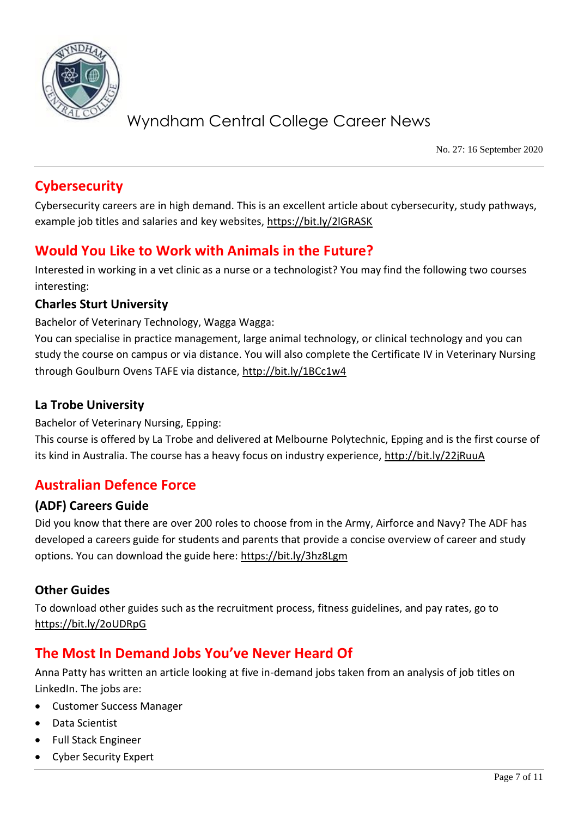

No. 27: 16 September 2020

# **Cybersecurity**

Cybersecurity careers are in high demand. This is an excellent article about cybersecurity, study pathways, example job titles and salaries and key websites,<https://bit.ly/2lGRASK>

# **Would You Like to Work with Animals in the Future?**

Interested in working in a vet clinic as a nurse or a technologist? You may find the following two courses interesting:

### **Charles Sturt University**

Bachelor of Veterinary Technology, Wagga Wagga:

You can specialise in practice management, large animal technology, or clinical technology and you can study the course on campus or via distance. You will also complete the Certificate IV in Veterinary Nursing through Goulburn Ovens TAFE via distance,<http://bit.ly/1BCc1w4>

### **La Trobe University**

Bachelor of Veterinary Nursing, Epping:

This course is offered by La Trobe and delivered at Melbourne Polytechnic, Epping and is the first course of its kind in Australia. The course has a heavy focus on industry experience,<http://bit.ly/22jRuuA>

## **Australian Defence Force**

### **(ADF) Careers Guide**

Did you know that there are over 200 roles to choose from in the Army, Airforce and Navy? The ADF has developed a careers guide for students and parents that provide a concise overview of career and study options. You can download the guide here:<https://bit.ly/3hz8Lgm>

### **Other Guides**

To download other guides such as the recruitment process, fitness guidelines, and pay rates, go to <https://bit.ly/2oUDRpG>

## **The Most In Demand Jobs You've Never Heard Of**

Anna Patty has written an article looking at five in-demand jobs taken from an analysis of job titles on LinkedIn. The jobs are:

- Customer Success Manager
- Data Scientist
- Full Stack Engineer
- Cyber Security Expert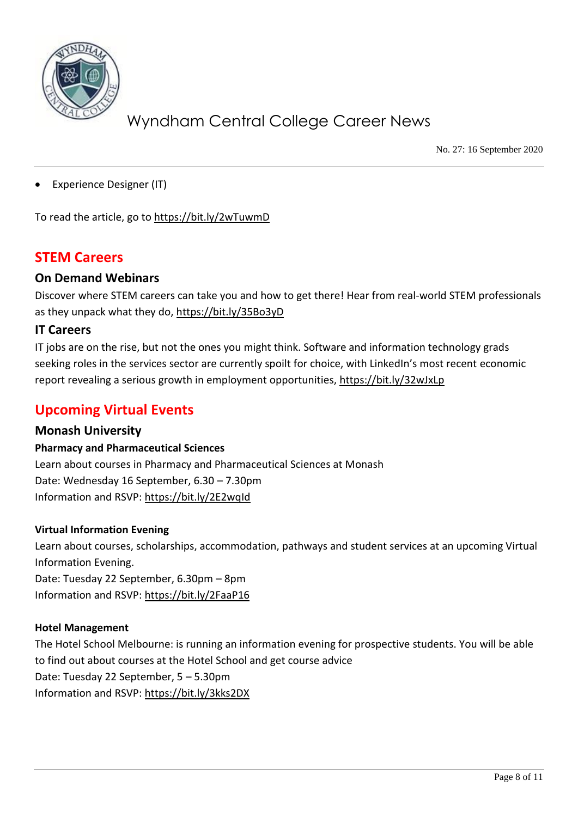

No. 27: 16 September 2020

Experience Designer (IT)

To read the article, go to<https://bit.ly/2wTuwmD>

## **STEM Careers**

### **On Demand Webinars**

Discover where STEM careers can take you and how to get there! Hear from real-world STEM professionals as they unpack what they do,<https://bit.ly/35Bo3yD>

### **IT Careers**

IT jobs are on the rise, but not the ones you might think. Software and information technology grads seeking roles in the services sector are currently spoilt for choice, with LinkedIn's most recent economic report revealing a serious growth in employment opportunities,<https://bit.ly/32wJxLp>

# **Upcoming Virtual Events**

### **Monash University**

### **Pharmacy and Pharmaceutical Sciences**

Learn about courses in Pharmacy and Pharmaceutical Sciences at Monash Date: Wednesday 16 September, 6.30 – 7.30pm Information and RSVP:<https://bit.ly/2E2wqId>

#### **Virtual Information Evening**

Learn about courses, scholarships, accommodation, pathways and student services at an upcoming Virtual Information Evening. Date: Tuesday 22 September, 6.30pm – 8pm

Information and RSVP:<https://bit.ly/2FaaP16>

### **Hotel Management**

The Hotel School Melbourne: is running an information evening for prospective students. You will be able to find out about courses at the Hotel School and get course advice Date: Tuesday 22 September, 5 – 5.30pm Information and RSVP:<https://bit.ly/3kks2DX>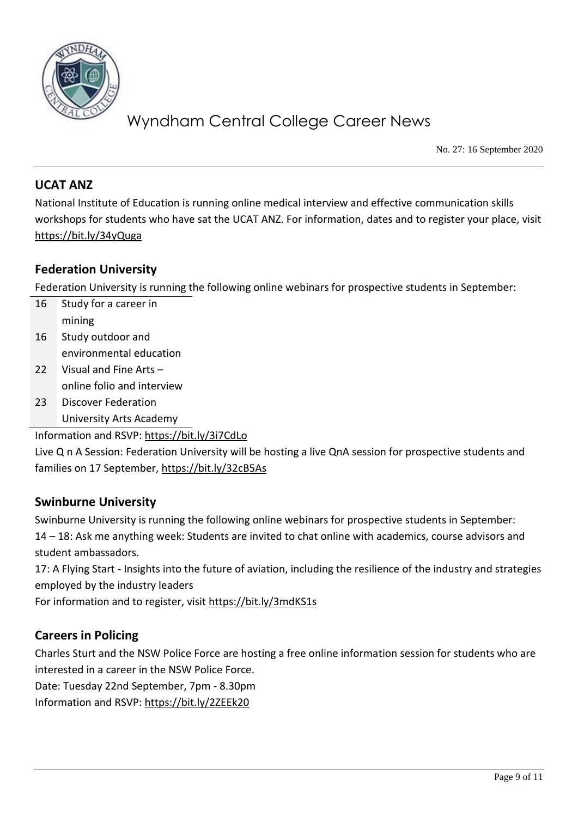

No. 27: 16 September 2020

### **UCAT ANZ**

National Institute of Education is running online medical interview and effective communication skills workshops for students who have sat the UCAT ANZ. For information, dates and to register your place, visit <https://bit.ly/34yQuga>

### **Federation University**

Federation University is running the following online webinars for prospective students in September:

- 16 Study for a career in mining 16 Study outdoor and environmental education
- 22 Visual and Fine Arts online folio and interview
- 23 Discover Federation University Arts Academy

Information and RSVP:<https://bit.ly/3i7CdLo>

Live Q n A Session: Federation University will be hosting a live QnA session for prospective students and families on 17 September,<https://bit.ly/32cB5As>

### **Swinburne University**

Swinburne University is running the following online webinars for prospective students in September: 14 – 18: Ask me anything week: Students are invited to chat online with academics, course advisors and student ambassadors.

17: A Flying Start - Insights into the future of aviation, including the resilience of the industry and strategies employed by the industry leaders

For information and to register, visit<https://bit.ly/3mdKS1s>

## **Careers in Policing**

Charles Sturt and the NSW Police Force are hosting a free online information session for students who are interested in a career in the NSW Police Force.

Date: Tuesday 22nd September, 7pm - 8.30pm

Information and RSVP:<https://bit.ly/2ZEEk20>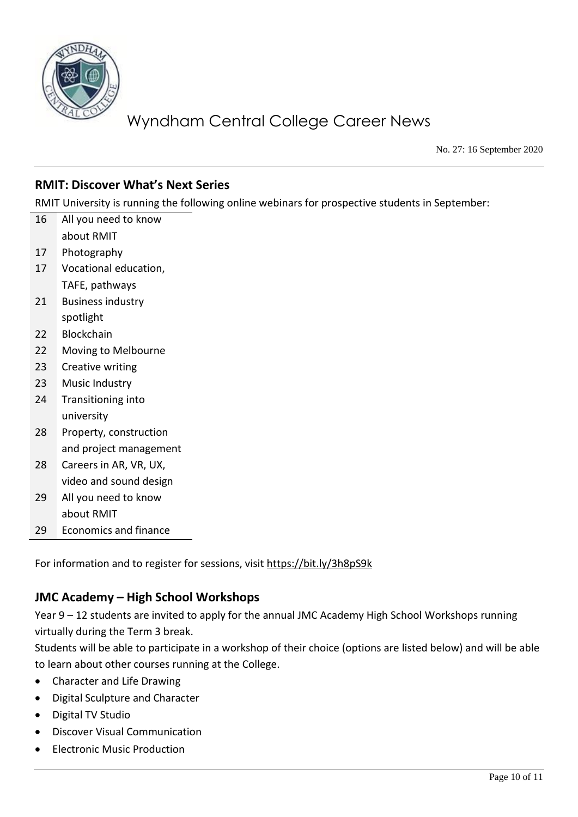

No. 27: 16 September 2020

## **RMIT: Discover What's Next Series**

RMIT University is running the following online webinars for prospective students in September:

16 All you need to know about RMIT 17 Photography 17 Vocational education, TAFE, pathways 21 Business industry spotlight 22 Blockchain 22 Moving to Melbourne 23 Creative writing 23 Music Industry 24 Transitioning into university 28 Property, construction and project management 28 Careers in AR, VR, UX, video and sound design 29 All you need to know about RMIT 29 Economics and finance

For information and to register for sessions, visit<https://bit.ly/3h8pS9k>

### **JMC Academy – High School Workshops**

Year 9 – 12 students are invited to apply for the annual JMC Academy High School Workshops running virtually during the Term 3 break.

Students will be able to participate in a workshop of their choice (options are listed below) and will be able to learn about other courses running at the College.

- Character and Life Drawing
- Digital Sculpture and Character
- Digital TV Studio
- Discover Visual Communication
- Electronic Music Production